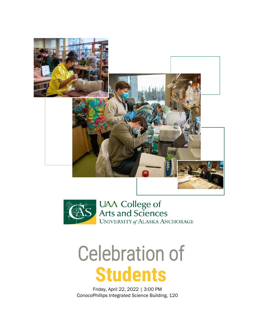



## Celebration of **Students**

Friday, April 22, 2022 | 3:00 PM ConocoPhillips Integrated Science Building, 120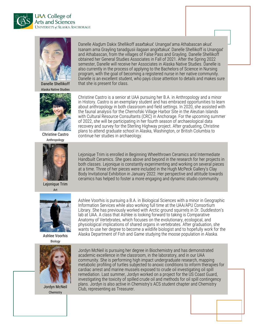



Danelle Shellikoff Alaska Native Studies



Christine Castro Anthropology



Lejonique Trim Art



Ashlee Voorhis Biology



Jordyn McNeil **Chemistry** 

Danelle Alaĝum Dakix Shellikoff asax̂takux̂. Unangax̂ama Athabascan akux̂. Isanam ama Grayling tanadgusii ilagaan angix̂takux̂. Danelle Shellikoff is Unangax̂ and Athabascan, from the villages of False Pass and Grayling. Danelle Shellikoff obtained her General Studies Associates in Fall of 2021. After the Spring 2022 semester, Danelle will receive her Associates in Alaska Native Studies. Danelle is also currently in the process of applying to the Bachelors of Science in Nursing program, with the goal of becoming a registered nurse in her native community. Danelle is an excellent student, who pays close attention to details and makes sure that she is present for class.

Christine Castro is a senior at UAA pursuing her B.A. in Anthropology and a minor in History. Castro is an exemplary student and has embraced opportunities to learn about anthropology in both classroom and field settings. In 2020, she assisted with the faunal analysis for the Chernofski Village Harbor Site in the Aleutian Islands with Cultural Resource Consultants (CRC) in Anchorage. For the upcoming summer of 2022, she will be participating in her fourth season of archaeological data recovery and survey for the Sterling Highway project. After graduating, Christine plans to attend graduate school in Alaska, Washington, or British Columbia to continue her studies in archaeology.

Lejonique Trim is enrolled in Beginning Wheelthrown Ceramics and Intermediate Handbuilt Ceramics. She goes above and beyond in the research for her projects in both classes. Lejonique is constantly experimenting and working on several pieces at a time. Three of her pieces were included in the Hugh McPeck Gallery's Clay Body Invitational Exhibition in January 2022. Her perspective and attitude towards ceramics has helped to foster a more engaging and dynamic studio community.

Ashlee Voorhis is pursuing a B.A. in Biological Sciences with a minor in Geographic Information Services while also working full time at the UAA/APU Consortium Library. She has previously worked with Arctic ground squirrels in Dr. Duddleston's lab at UAA. A class that Ashlee is looking forward to taking is Comparative Anatomy of Vertebrates, which focuses on the evolutionary, ecological, and physiological implications of shared organs in vertebrates. After graduation, she wants to use her degree to become a wildlife biologist and to hopefully work for the Alaska Department of Fish and Game studying the moose population in Alaska.

Jordyn McNeil is pursuing her degree in Biochemistry and has demonstrated academic excellence in the classroom, in the laboratory, and in our UAA community. She is performing high impact undergraduate research, mapping metabolic profiling of turtles subjected to anoxic conditions to inform therapies for cardiac arrest and marine mussels exposed to crude oil investigating oil spill remediation. Last summer, Jordyn worked on a project for the US Coast Guard, investigating the toxicity of spilled crude oil and methods for oil spill contingency plans. Jordyn is also active in Chemistry's ACS student chapter and Chemistry Club, representing as Treasurer.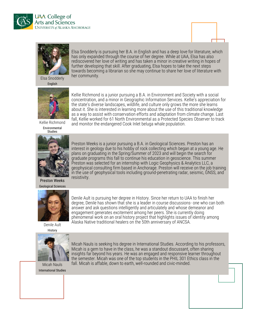



Elsa Snodderly is pursuing her B.A. in English and has a deep love for literature, which has only expanded through the course of her degree. While at UAA, Elsa has also rediscovered her love of writing and has taken a minor in creative writing in hopes of further developing that skill. After graduating, Elsa hopes to take the next steps towards becoming a librarian so she may continue to share her love of literature with her community.

Elsa Snodderly English



Kellie Richmond Environmental



Preston Weeks Geological Sciences



Denile Ault History



Micah Nauls International Studies

Kellie Richmond is a junior pursuing a B.A. in Environment and Society with a social concentration, and a minor in Geographic Information Services. Kellie's appreciation for the state's diverse landscapes, wildlife, and culture only grows the more she learns about it. She is interested in learning more about the use of this traditional knowledge as a way to assist with conservation efforts and adaptation from climate change. Last fall, Kellie worked for 61 North Environmental as a Protected Species Observer to track and monitor the endangered Cook Inlet beluga whale population.

Preston Weeks is a junior pursuing a B.A. in Geological Sciences. Preston has an interest in geology due to his hobby of rock collecting which began at a young age. He plans on graduating in the Spring/Summer of 2023 and will begin the search for graduate programs this fall to continue his education in geoscience. This summer Preston was selected for an internship with Logic Geophysics & Analytics LLC, a geophysical consulting firm based in Anchorage. Preston will receive on the job training in the use of geophysical tools including ground-penetrating radar, seismic, GNSS, and resistivity.

Denile Ault is pursuing her degree in History. Since her return to UAA to finish her degree, Denile has shown that she is a leader in course discussions- one who can both answer and ask questions intelligently and articulately and whose demeanor and engagement generates excitement among her peers. She is currently doing phenomenal work on an oral history project that highlights issues of identity among Alaska Native traditional healers on the 50th anniversary of ANCSA.

Micah Nauls is seeking his degree in International Studies. According to his professors, Micah is a gem to have in the class, he was a standout discussant, often sharing insights far beyond his years. He was an engaged and responsive learner throughout the semester. Micah was one of the top students in the PHIL 301 Ethics class in the fall. Micah is affable, down to earth, well-rounded and civic-minded.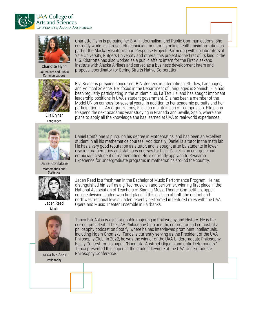![](_page_3_Picture_0.jpeg)

![](_page_3_Picture_1.jpeg)

Charlotte Flynn Journalism and Public Communications

![](_page_3_Picture_3.jpeg)

Ella Bryner Languages

![](_page_3_Picture_5.jpeg)

Ella Bryner is pursuing concurrent B.A. degrees in International Studies, Languages, and Political Science. Her focus in the Department of Languages is Spanish. Ella has been regularly participating in the student club, La Tertulia, and has sought important leadership positions in UAA's student government. Ella has been a member of the Model UN on campus for several years. In addition to her academic pursuits and her participation in UAA organizations, Ella also maintains an off-campus job. Ella plans to spend the next academic year studying in Granada and Seville, Spain, where she plans to apply all the knowledge she has learned at UAA to real-world experiences.

Daniel Confalone is pursuing his degree in Mathematics, and has been an excellent student in all his mathematics courses. Additionally, Daniel is a tutor in the math lab. He has a very good reputation as a tutor, and is sought after by students in lower division mathematics and statistics courses for help. Daniel is an energetic and enthusiastic student of mathematics. He is currently applying to Research Experience for Undergraduate programs in mathematics around the country.

![](_page_3_Picture_7.jpeg)

Daniel Confalone Mathematics and **Statistics** 

![](_page_3_Picture_9.jpeg)

Jaden Reed Music

![](_page_3_Picture_11.jpeg)

Tunca Isik Askin Philosophy

Jaden Reed is a freshman in the Bachelor of Music Performance Program. He has distinguished himself as a gifted musician and performer, winning first place in the National Association of Teachers of Singing Music Theater Competition, upper college division. Jaden won first place in this division at both the district and northwest regional levels. Jaden recently performed in featured roles with the UAA Opera and Music Theater Ensemble in Fairbanks.

Tunca Isik Askin is a junior double majoring in Philosophy and History. He is the current president of the UAA Philosophy Club and the co-creator and co-host of a philosophy podcast on Spotify, where he has interviewed prominent intellectuals, including Noam Chomsky. Tunca is currently serving as the President of the UAA Philosophy Club. In 2022, he was the winner of the UAA Undergraduate Philosophy Essay Contest for his paper, "Noemata: Abstract Objects and ontic Determiners." Tunca presented this paper as the student keynote at the UAA Undergraduate Philosophy Conference.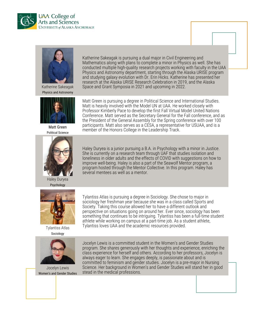![](_page_4_Picture_0.jpeg)

![](_page_4_Picture_1.jpeg)

Katherine Sakeagak Physics and Astronomy

![](_page_4_Picture_3.jpeg)

Matt Green Political Science

![](_page_4_Picture_5.jpeg)

Haley Duryea Psychology

![](_page_4_Picture_7.jpeg)

Tylantiss Atlas Sociology

![](_page_4_Picture_9.jpeg)

Jocelyn Lewis Women's and Gender Studies

Katherine Sakeagak is pursuing a dual major in Civil Engineering and Mathematics along with plans to complete a minor in Physics as well. She has conducted multiple high-quality research projects working with faculty in the UAA Physics and Astronomy department, starting through the Alaska URISE program and studying galaxy evolution with Dr. Erin Hicks. Katherine has presented her research at the Alaska URISE Research Celebration in 2019, and the Alaska Space and Grant Symposia in 2021 and upcoming in 2022.

Matt Green is pursuing a degree in Political Science and International Studies. Matt is heavily involved with the Model UN at UAA. He worked closely with Professor Kimberly Pace to develop the first Fall Virtual Model United Nations Conference. Matt served as the Secretary General for the Fall conference, and as the President of the General Assembly for the Spring conference with over 100 participants. Matt also serves as a CESA, a representative for USUAA, and is a member of the Honors College in the Leadership Track.

Haley Duryea is a junior pursuing a B.A. in Psychology with a minor in Justice. She is currently on a research team through UAF that studies isolation and loneliness in older adults and the effects of COVID with suggestions on how to improve well-being. Haley is also a part of the Seawolf Mentor program, a program hosted through the Mentor Collective. In this program. Haley has several mentees as well as a mentor.

Tylantiss Atlas is pursuing a degree in Sociology. She chose to major in sociology her freshman year because she was in a class called Sports and Society. Taking this course allowed her to have a different outlook and perspective on situations going on around her. Ever since, sociology has been something that continues to be intriguing. Tylantiss has been a full-time student athlete while working on campus at a part-time job. As a student athlete, Tylantiss loves UAA and the academic resources provided.

Jocelyn Lewis is a committed student in the Women's and Gender Studies program. She shares generously with her thoughts and experience, enriching the class experience for herself and others. According to her professors, Jocelyn is always eager to learn. She engages deeply, is passionate about and is committed to feminism and gender studies. Jocelyn is a pre-major in Nursing Science. Her background in Women's and Gender Studies will stand her in good stead in the medical professions.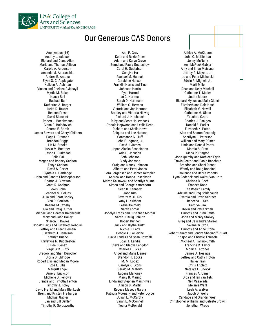![](_page_5_Picture_0.jpeg)

## Our Generous CAS Donors

Anonymous (16) Audrey L. Addison Richard and Diane Allen Maria and Thomas Allison Carole A. Anderson Amanda M. Andraschko Andres R. Antuna Elyse G. C. Applegate Kolleen A. Ashman Vincen and Chelsea Avichayil Myrtle M. Baker Nancy Ball Rachael Ball Katherine A. Barger Keith D. Baxter Beacon Press David Blanchet Robert J. Boeckmann Glenn P. Boledovich Conrad E. Booth James Bowers and Cheryl Childers Page L. Brannon **Brandon Briggs** Liz M. Brooks Kevin M. Buettner Jason L. Burkhead Bella Cai Megan and Rodney Carlson Tanya Carlson David S. Carter Cynthia L. Cartledge John and Sandra Christopherson Sharon J. Clawson Grant R. Cochran Lewis Cohn Jennifer M. Collins Julia and Scott Cooley Glen R. Coulson Deanna M. Crosby Gia and Craig Currier Michael and Heather Daigneault Mary and John Dailey Sharon F. Davies Donald Davis and Elizabeth Robbins Jeffrey and Eileen Demain Elizabeth J. Dennison Kathryn Duane Khrystyne N. Duddleston Hilda Duenez Virginia C. Duffy Gregory and Shari Durocher Gloria D. Eldridge Robert Ellis and Megan Moore Zoe L. Ellis Margritt Engel Arne G. Erickson Michelle D. Fellows Brenda and Timothy Fenton Timothy J. Foley David Frankl and Mary Blenkush Brent and Kristen Freiburger Michael Gabler Jan and Bill Gehler Timothy R. Goldsworthy

Ann P. Gray Keith and Roxie Greer Adam and Karyn Grove Bernd and Paula Guetschow Carol H. Gustafson SongHo Ha Rachael M. Hannah Geraldine Hanson Franklin Harris and Tina Johnson-Harris Ryan Harrod Ian C. Hartman Sarah D. Hartmann William G. Herman Victoria and Jon Hermon Bradley and Victoria Hillwig Richard J. Hitchcock Ruby and Scott Hollembaek Donald Hopwood and Leslie Dean Richard and Sheila Howe Chiquita and Lee Hudson Constance G. Huff John F. Ingman, Jr. David J. James Japan Alaska Association Ada D. Johnson Beth Johnson Cindy Johnson Craig and Nancy Johnson Alberta and Peter Jones Lora Jorgensen and James Kemplen Andrew and Donna Josephson Melvin Kalkowski and Sharilyn Mumay Simon and George Kattenhorn Sean D. Kennedy Joon Kim Beverly M. O. Kirk Amy L. Kirkham Leslie Kleinfeld Sarah Komar Jocelyn Krebs and Susannah Morgan Sarah J. Krug Schultz Robert Kuhner Rick and Blythe Kurtz Nicole J. Lacy Debbie A. LaFleiche David Landis and Sean Dowdall Joan T. Landis Steve and Gladys Langdon Charles E. Licka Angel and Marie Llanes Brandon T. Locke M. M. Lopez Carolyn K. Lyons Gerald M. Mabrito Eugene Mahoney Marcy B. Marino Linda and Stephen Marsh-Ives Allison B. Martin Rebeca Maseda Garcia Patricia McAnany and Peter Joyce Julian L. McCarthy Sarah E. McConnell Teena McDonald

Ashley A. McKibbon John C. McKiernan Jenny McNulty Ann McPeck Gabler Amy and Brian Meissner Jeffrey R. Meyers, Jr. Jo and Peter Michalski Edwin R. Mighell, Jr. Marti Miller Dean and Kelly Mitchell Catherine T. Moller Judith Moore Richard Mylius and Sally Gibert Elizabeth and Dale Nash Elizabeth V. Newell Catherine M. Olson Yasuhiro Ozuru Charles J. Panigeo Donald E. Parker Elizabeth K. Paton Alan and Sharon Peabody Sherilynn L. Peterson William and Mary Pfister Linda and Donald Porter Marcia A. Pratt Ginna Purrington John Quimby and Kathleen Egan Travis Rector and Paola Banchero Brandon and Shani Rinner Wendy and Doug Robbins Lawrence and Debra Roberts Lynn Roderick and Walter Van Horn Chelsea B. Roehl Frances Rose The Rosich Family Adeline and Greg Schlabaugh Cynthia and David Schraer Rebecca J. See Kathryn Sink Kevin and Petra Smith Timothy and Rumi Smith John and Marcy Stalvey Greg and Cassandra Stalzer Selene W. Stoll Timothy and Anne Stone Robert Stuart and Sondra Shaginoff-Stuart Krisjon and Christie Tabisola Michael A. Tallino-Smith Francine C. Taylor Monica Terrones James J. Tiesinga Jeffrey and Cathy Tipton Halley Tran Chris Triplett Nataliya F. Udovyk Frances A. Ulmer Olga and Ian van Tets Neil Vasavada Melanie Wahl Leah A. Walker Jacob D. Wells Candace and Grandin West Christopher Williams and Celeste Brown Jonathan Wrede